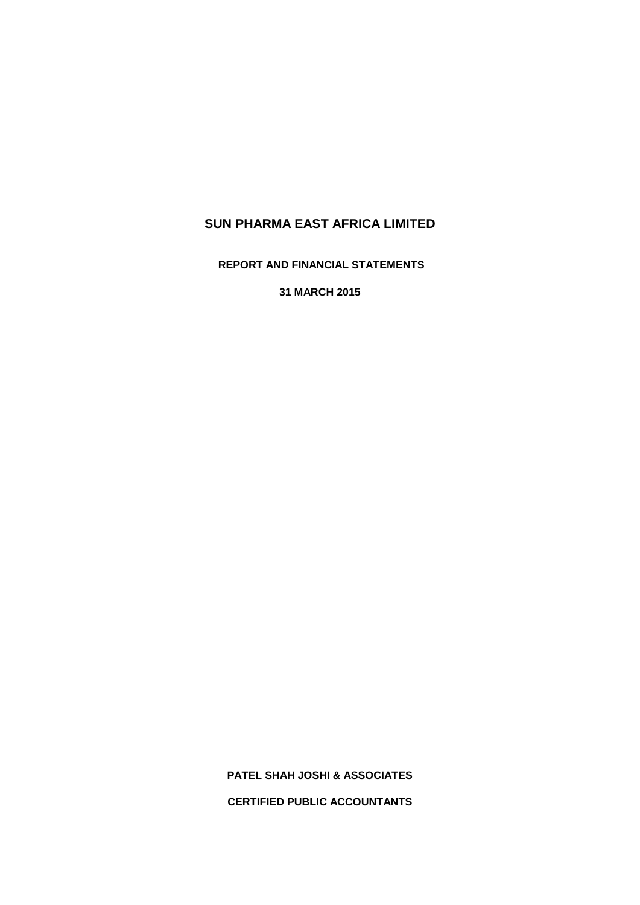**REPORT AND FINANCIAL STATEMENTS**

**31 MARCH 2015**

**PATEL SHAH JOSHI & ASSOCIATES CERTIFIED PUBLIC ACCOUNTANTS**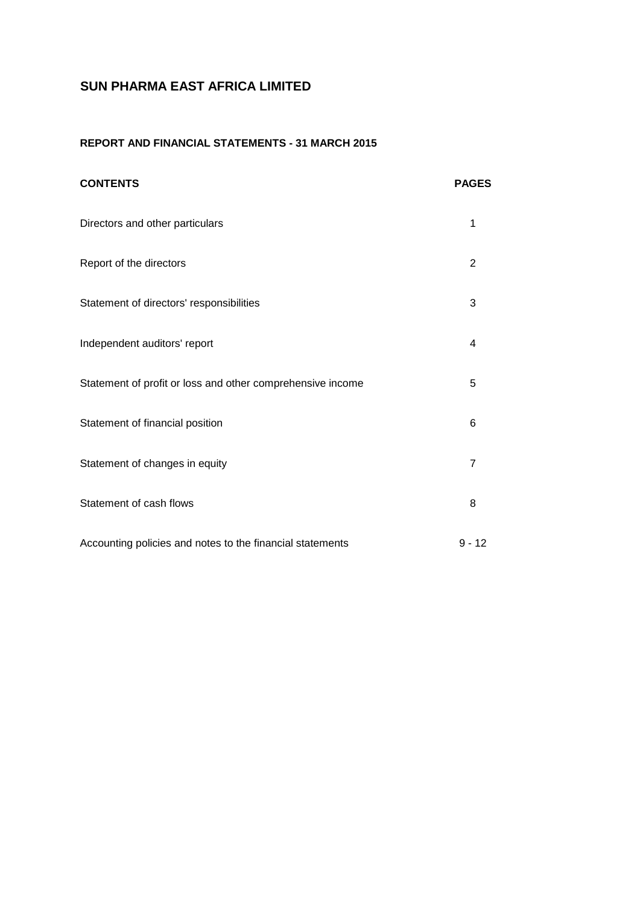## **REPORT AND FINANCIAL STATEMENTS - 31 MARCH 2015**

| <b>CONTENTS</b>                                            | <b>PAGES</b>   |
|------------------------------------------------------------|----------------|
| Directors and other particulars                            | 1              |
| Report of the directors                                    | $\overline{2}$ |
| Statement of directors' responsibilities                   | 3              |
| Independent auditors' report                               | $\overline{4}$ |
| Statement of profit or loss and other comprehensive income | 5              |
| Statement of financial position                            | 6              |
| Statement of changes in equity                             | $\overline{7}$ |
| Statement of cash flows                                    | 8              |
| Accounting policies and notes to the financial statements  | $9 - 12$       |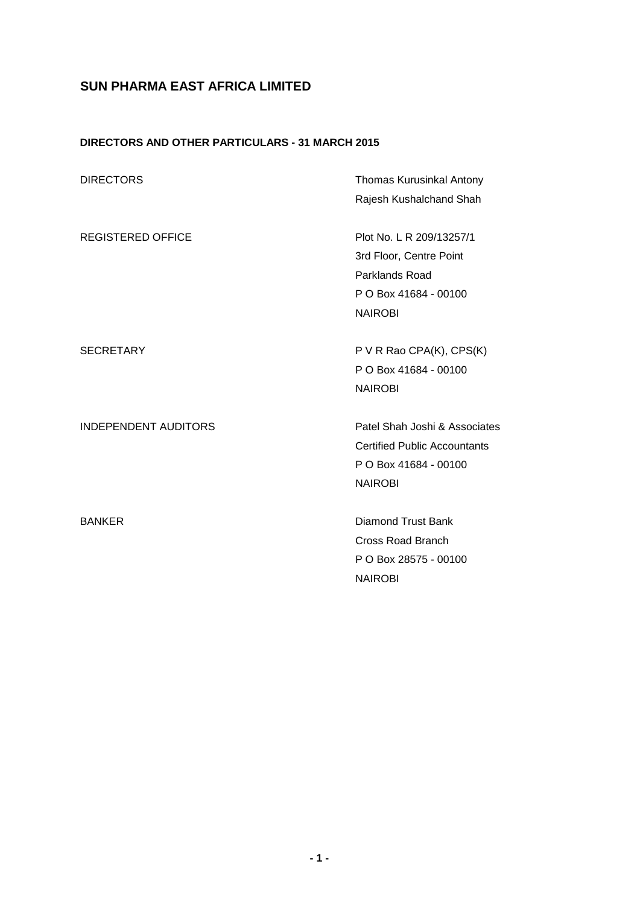# **DIRECTORS AND OTHER PARTICULARS - 31 MARCH 2015**

| <b>DIRECTORS</b>            | Thomas Kurusinkal Antony            |
|-----------------------------|-------------------------------------|
|                             | Rajesh Kushalchand Shah             |
| <b>REGISTERED OFFICE</b>    | Plot No. L R 209/13257/1            |
|                             | 3rd Floor, Centre Point             |
|                             | Parklands Road                      |
|                             | P O Box 41684 - 00100               |
|                             | <b>NAIROBI</b>                      |
|                             |                                     |
| <b>SECRETARY</b>            | P V R Rao CPA(K), CPS(K)            |
|                             | P O Box 41684 - 00100               |
|                             | <b>NAIROBI</b>                      |
|                             |                                     |
| <b>INDEPENDENT AUDITORS</b> | Patel Shah Joshi & Associates       |
|                             | <b>Certified Public Accountants</b> |
|                             | P O Box 41684 - 00100               |
|                             | <b>NAIROBI</b>                      |
|                             |                                     |
| <b>BANKER</b>               | <b>Diamond Trust Bank</b>           |
|                             | <b>Cross Road Branch</b>            |
|                             | P O Box 28575 - 00100               |
|                             | <b>NAIROBI</b>                      |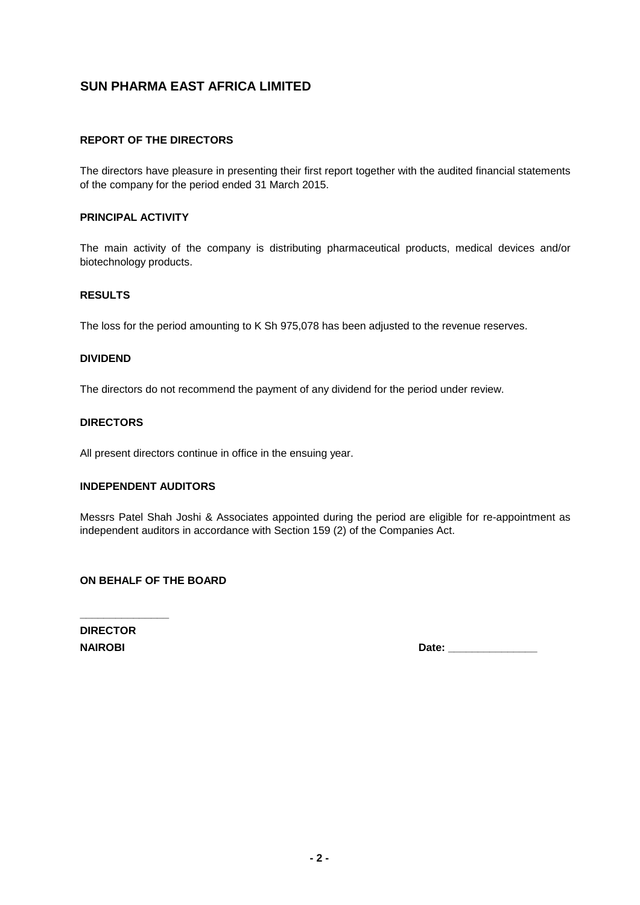## **REPORT OF THE DIRECTORS**

The directors have pleasure in presenting their first report together with the audited financial statements of the company for the period ended 31 March 2015.

#### **PRINCIPAL ACTIVITY**

The main activity of the company is distributing pharmaceutical products, medical devices and/or biotechnology products.

## **RESULTS**

The loss for the period amounting to K Sh 975,078 has been adjusted to the revenue reserves.

## **DIVIDEND**

The directors do not recommend the payment of any dividend for the period under review.

#### **DIRECTORS**

All present directors continue in office in the ensuing year.

#### **INDEPENDENT AUDITORS**

Messrs Patel Shah Joshi & Associates appointed during the period are eligible for re-appointment as independent auditors in accordance with Section 159 (2) of the Companies Act.

## **ON BEHALF OF THE BOARD**

**DIRECTOR**

**\_\_\_\_\_\_\_\_\_\_\_\_\_\_\_**

**NAIROBI Date: \_\_\_\_\_\_\_\_\_\_\_\_\_\_\_**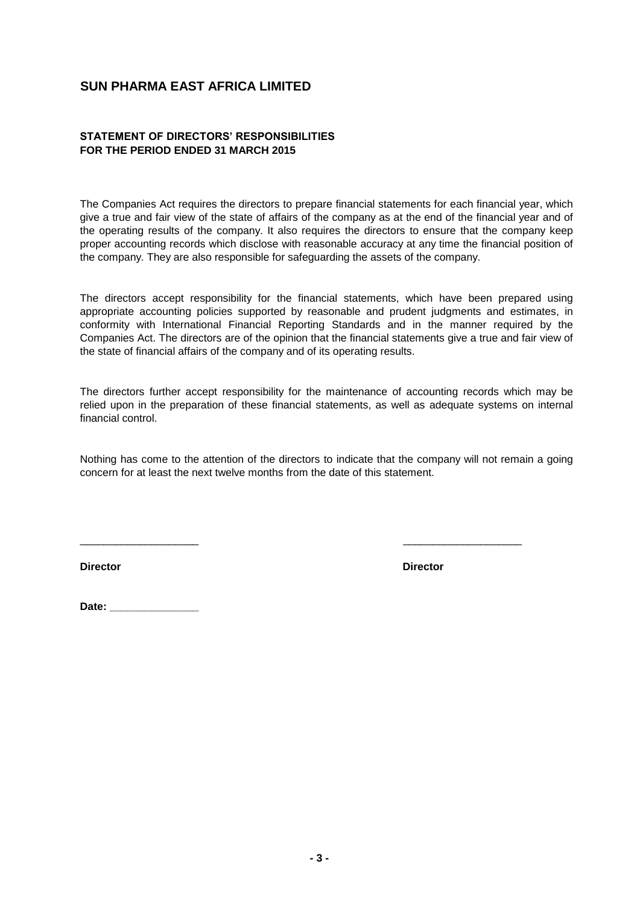## **STATEMENT OF DIRECTORS' RESPONSIBILITIES FOR THE PERIOD ENDED 31 MARCH 2015**

The Companies Act requires the directors to prepare financial statements for each financial year, which give a true and fair view of the state of affairs of the company as at the end of the financial year and of the operating results of the company. It also requires the directors to ensure that the company keep proper accounting records which disclose with reasonable accuracy at any time the financial position of the company. They are also responsible for safeguarding the assets of the company.

The directors accept responsibility for the financial statements, which have been prepared using appropriate accounting policies supported by reasonable and prudent judgments and estimates, in conformity with International Financial Reporting Standards and in the manner required by the Companies Act. The directors are of the opinion that the financial statements give a true and fair view of the state of financial affairs of the company and of its operating results.

The directors further accept responsibility for the maintenance of accounting records which may be relied upon in the preparation of these financial statements, as well as adequate systems on internal financial control.

Nothing has come to the attention of the directors to indicate that the company will not remain a going concern for at least the next twelve months from the date of this statement.

\_\_\_\_\_\_\_\_\_\_\_\_\_\_\_\_\_\_\_\_ \_\_\_\_\_\_\_\_\_\_\_\_\_\_\_\_\_\_\_\_

**Director Director** 

Date: **We are all the set of the set of the set of the set of the set of the set of the set of the set of the set of the set of the set of the set of the set of the set of the set of the set of the set of the set of the se**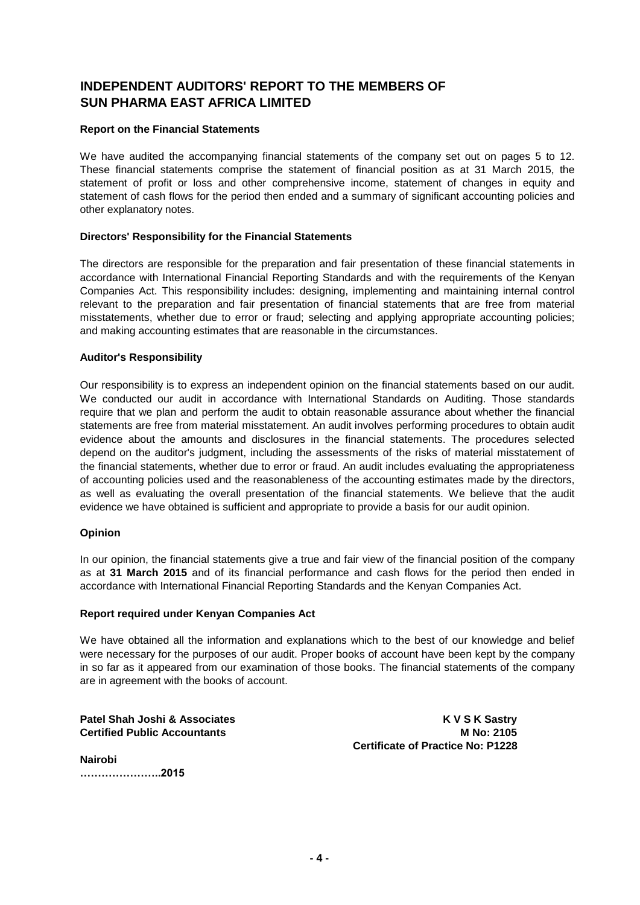# **INDEPENDENT AUDITORS' REPORT TO THE MEMBERS OF SUN PHARMA EAST AFRICA LIMITED**

## **Report on the Financial Statements**

We have audited the accompanying financial statements of the company set out on pages 5 to 12. These financial statements comprise the statement of financial position as at 31 March 2015, the statement of profit or loss and other comprehensive income, statement of changes in equity and statement of cash flows for the period then ended and a summary of significant accounting policies and other explanatory notes.

## **Directors' Responsibility for the Financial Statements**

The directors are responsible for the preparation and fair presentation of these financial statements in accordance with International Financial Reporting Standards and with the requirements of the Kenyan Companies Act. This responsibility includes: designing, implementing and maintaining internal control relevant to the preparation and fair presentation of financial statements that are free from material misstatements, whether due to error or fraud; selecting and applying appropriate accounting policies; and making accounting estimates that are reasonable in the circumstances.

#### **Auditor's Responsibility**

Our responsibility is to express an independent opinion on the financial statements based on our audit. We conducted our audit in accordance with International Standards on Auditing. Those standards require that we plan and perform the audit to obtain reasonable assurance about whether the financial statements are free from material misstatement. An audit involves performing procedures to obtain audit evidence about the amounts and disclosures in the financial statements. The procedures selected depend on the auditor's judgment, including the assessments of the risks of material misstatement of the financial statements, whether due to error or fraud. An audit includes evaluating the appropriateness of accounting policies used and the reasonableness of the accounting estimates made by the directors, as well as evaluating the overall presentation of the financial statements. We believe that the audit evidence we have obtained is sufficient and appropriate to provide a basis for our audit opinion.

#### **Opinion**

In our opinion, the financial statements give a true and fair view of the financial position of the company as at **31 March 2015** and of its financial performance and cash flows for the period then ended in accordance with International Financial Reporting Standards and the Kenyan Companies Act.

#### **Report required under Kenyan Companies Act**

We have obtained all the information and explanations which to the best of our knowledge and belief were necessary for the purposes of our audit. Proper books of account have been kept by the company in so far as it appeared from our examination of those books. The financial statements of the company are in agreement with the books of account.

**Patel Shah Joshi & Associates Material Shah Joshi & Associates Material Shah Material Shah K V S K Sastry Certified Public Accountants M No: 2105 Certificate of Practice No: P1228**

**Nairobi …………………..2015**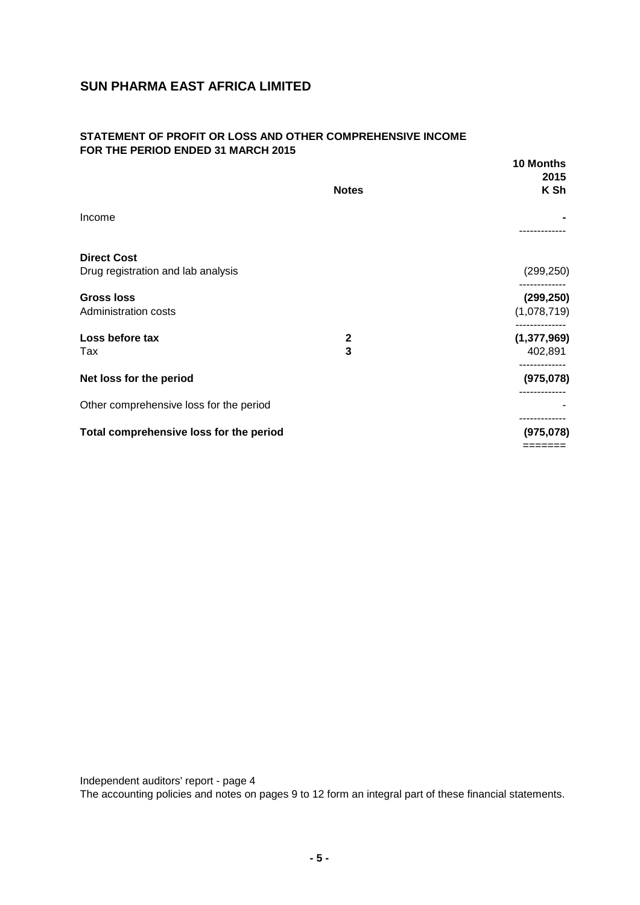## **STATEMENT OF PROFIT OR LOSS AND OTHER COMPREHENSIVE INCOME FOR THE PERIOD ENDED 31 MARCH 2015**

|                                         |              | 10 Months            |
|-----------------------------------------|--------------|----------------------|
|                                         | <b>Notes</b> | 2015<br>K Sh         |
| Income                                  |              |                      |
|                                         |              | .                    |
| <b>Direct Cost</b>                      |              |                      |
| Drug registration and lab analysis      |              | (299, 250)           |
| <b>Gross loss</b>                       |              | (299, 250)           |
| Administration costs                    |              | (1,078,719)          |
| Loss before tax                         | $\mathbf 2$  | (1, 377, 969)        |
| Tax                                     | 3            | 402,891              |
| Net loss for the period                 |              | (975, 078)           |
| Other comprehensive loss for the period |              | -----------          |
|                                         |              |                      |
| Total comprehensive loss for the period |              | (975,078)<br>======= |
|                                         |              |                      |

Independent auditors' report - page 4 The accounting policies and notes on pages 9 to 12 form an integral part of these financial statements.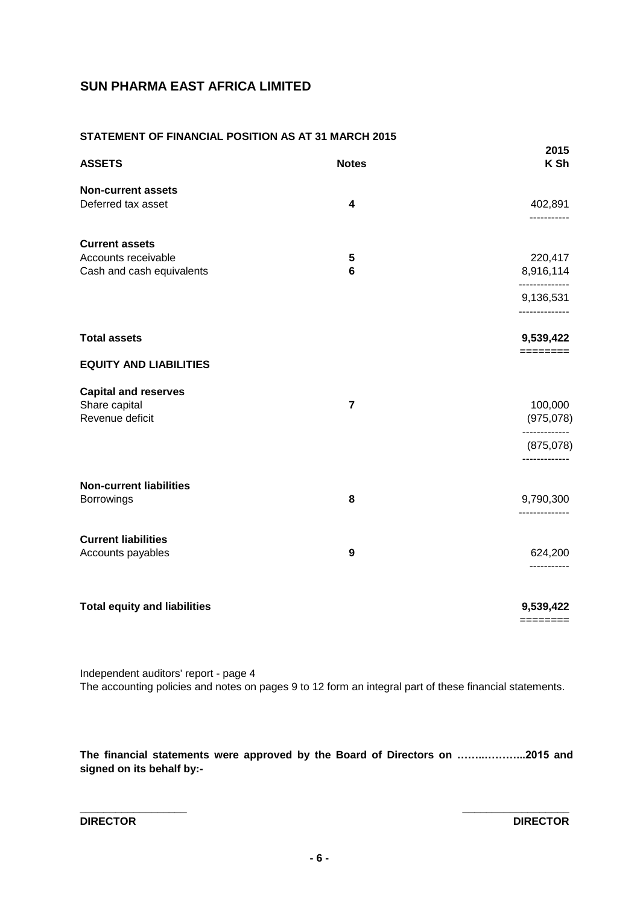## **STATEMENT OF FINANCIAL POSITION AS AT 31 MARCH 2015**

| <b>ASSETS</b>                                                             | <b>Notes</b>                | 2015<br>K Sh                           |
|---------------------------------------------------------------------------|-----------------------------|----------------------------------------|
| <b>Non-current assets</b><br>Deferred tax asset                           | $\overline{\mathbf{4}}$     | 402,891<br>-----------                 |
| <b>Current assets</b><br>Accounts receivable<br>Cash and cash equivalents | ${\bf 5}$<br>$6\phantom{1}$ | 220,417<br>8,916,114<br>-------------- |
|                                                                           |                             | 9,136,531<br>--------------            |
| <b>Total assets</b>                                                       |                             | 9,539,422<br>========                  |
| <b>EQUITY AND LIABILITIES</b>                                             |                             |                                        |
| <b>Capital and reserves</b><br>Share capital<br>Revenue deficit           | $\overline{7}$              | 100,000<br>(975, 078)                  |
|                                                                           |                             | (875,078)<br>-------------             |
| <b>Non-current liabilities</b><br><b>Borrowings</b>                       | 8                           | 9,790,300<br>--------------            |
| <b>Current liabilities</b><br>Accounts payables                           | 9                           | 624,200<br>-----------                 |
| <b>Total equity and liabilities</b>                                       |                             | 9,539,422<br>$=$ =======               |

Independent auditors' report - page 4

The accounting policies and notes on pages 9 to 12 form an integral part of these financial statements.

**The financial statements were approved by the Board of Directors on ……..………...2015 and signed on its behalf by:-**

**\_\_\_\_\_\_\_\_\_\_\_\_\_\_\_\_\_\_ \_\_\_\_\_\_\_\_\_\_\_\_\_\_\_\_\_\_**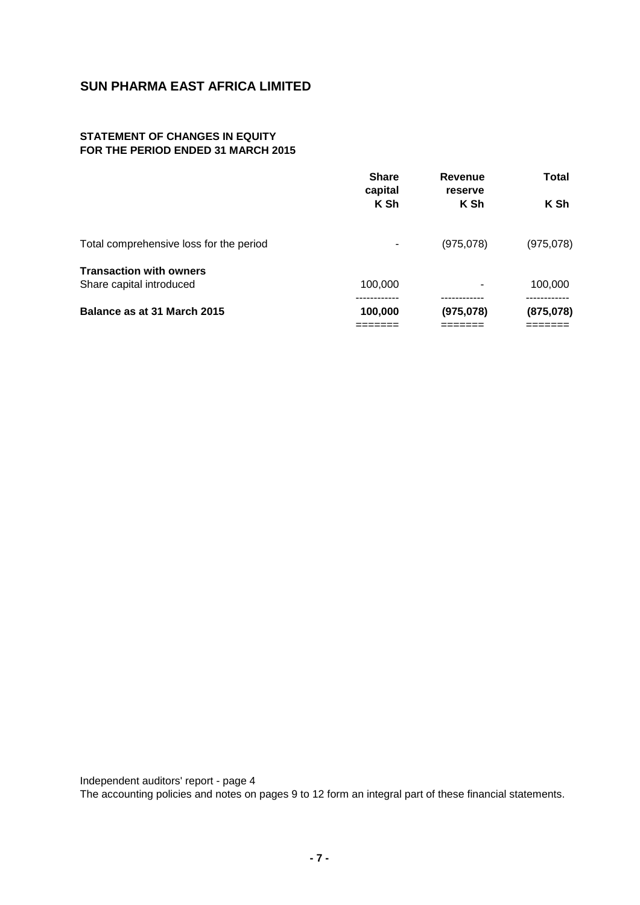# **STATEMENT OF CHANGES IN EQUITY FOR THE PERIOD ENDED 31 MARCH 2015**

|                                         | <b>Share</b><br>capital<br>K Sh | <b>Revenue</b><br>reserve<br>K Sh | Total<br>K Sh |
|-----------------------------------------|---------------------------------|-----------------------------------|---------------|
|                                         |                                 |                                   |               |
| Total comprehensive loss for the period |                                 | (975,078)                         | (975,078)     |
| <b>Transaction with owners</b>          |                                 |                                   |               |
| Share capital introduced                | 100,000                         |                                   | 100,000       |
|                                         |                                 |                                   |               |
| Balance as at 31 March 2015             | 100,000                         | (975,078)                         | (875,078)     |
|                                         |                                 |                                   |               |

Independent auditors' report - page 4 The accounting policies and notes on pages 9 to 12 form an integral part of these financial statements.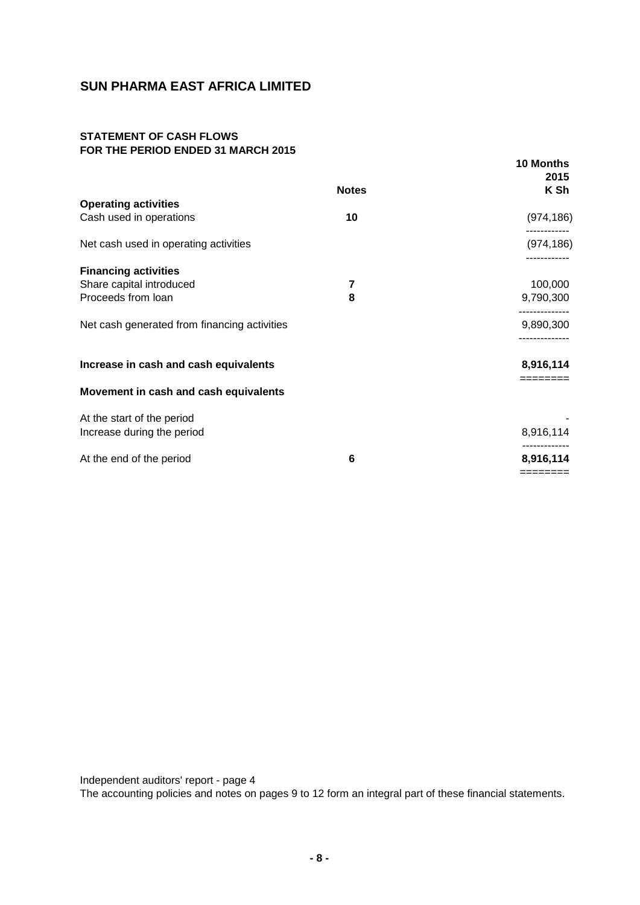## **STATEMENT OF CASH FLOWS FOR THE PERIOD ENDED 31 MARCH 2015**

|                                              | <b>Notes</b> | 10 Months<br>2015<br>K Sh |
|----------------------------------------------|--------------|---------------------------|
| <b>Operating activities</b>                  |              |                           |
| Cash used in operations                      | 10           | (974, 186)                |
| Net cash used in operating activities        |              | (974, 186)                |
| <b>Financing activities</b>                  |              |                           |
| Share capital introduced                     | 7            | 100,000                   |
| Proceeds from loan                           | 8            | 9,790,300                 |
| Net cash generated from financing activities |              | 9,890,300                 |
| Increase in cash and cash equivalents        |              | 8,916,114                 |
| Movement in cash and cash equivalents        |              | ========                  |
| At the start of the period                   |              |                           |
| Increase during the period                   |              | 8,916,114                 |
| At the end of the period                     | 6            | 8,916,114                 |
|                                              |              | ========                  |

Independent auditors' report - page 4

The accounting policies and notes on pages 9 to 12 form an integral part of these financial statements.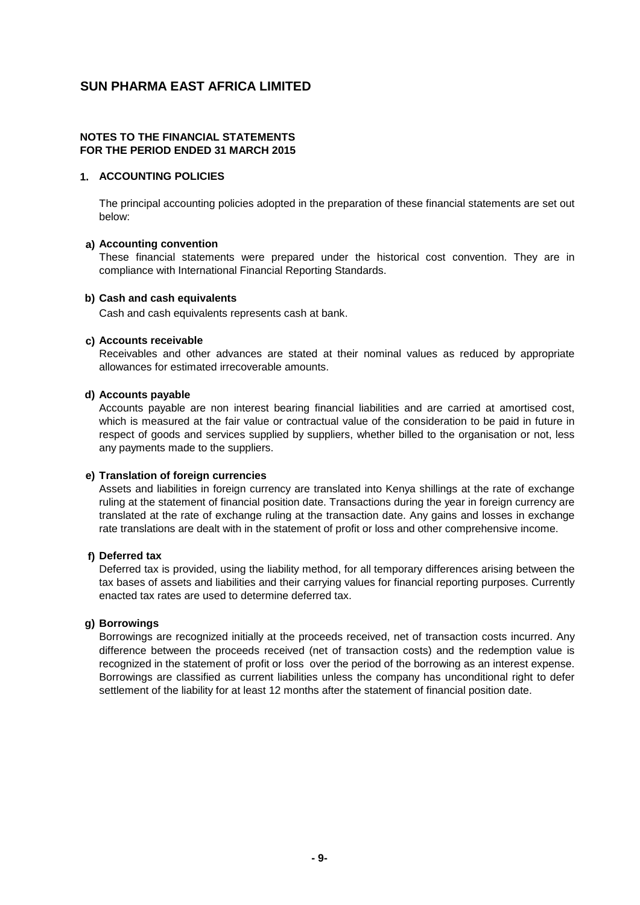#### **NOTES TO THE FINANCIAL STATEMENTS FOR THE PERIOD ENDED 31 MARCH 2015**

## **1. ACCOUNTING POLICIES**

The principal accounting policies adopted in the preparation of these financial statements are set out below:

#### **a) Accounting convention**

These financial statements were prepared under the historical cost convention. They are in compliance with International Financial Reporting Standards.

#### **b) Cash and cash equivalents**

Cash and cash equivalents represents cash at bank.

#### **c) Accounts receivable**

Receivables and other advances are stated at their nominal values as reduced by appropriate allowances for estimated irrecoverable amounts.

#### **d) Accounts payable**

Accounts payable are non interest bearing financial liabilities and are carried at amortised cost, which is measured at the fair value or contractual value of the consideration to be paid in future in respect of goods and services supplied by suppliers, whether billed to the organisation or not, less any payments made to the suppliers.

#### **e) Translation of foreign currencies**

Assets and liabilities in foreign currency are translated into Kenya shillings at the rate of exchange ruling at the statement of financial position date. Transactions during the year in foreign currency are translated at the rate of exchange ruling at the transaction date. Any gains and losses in exchange rate translations are dealt with in the statement of profit or loss and other comprehensive income.

#### **f) Deferred tax**

Deferred tax is provided, using the liability method, for all temporary differences arising between the tax bases of assets and liabilities and their carrying values for financial reporting purposes. Currently enacted tax rates are used to determine deferred tax.

## **g) Borrowings**

Borrowings are recognized initially at the proceeds received, net of transaction costs incurred. Any difference between the proceeds received (net of transaction costs) and the redemption value is recognized in the statement of profit or loss over the period of the borrowing as an interest expense. Borrowings are classified as current liabilities unless the company has unconditional right to defer settlement of the liability for at least 12 months after the statement of financial position date.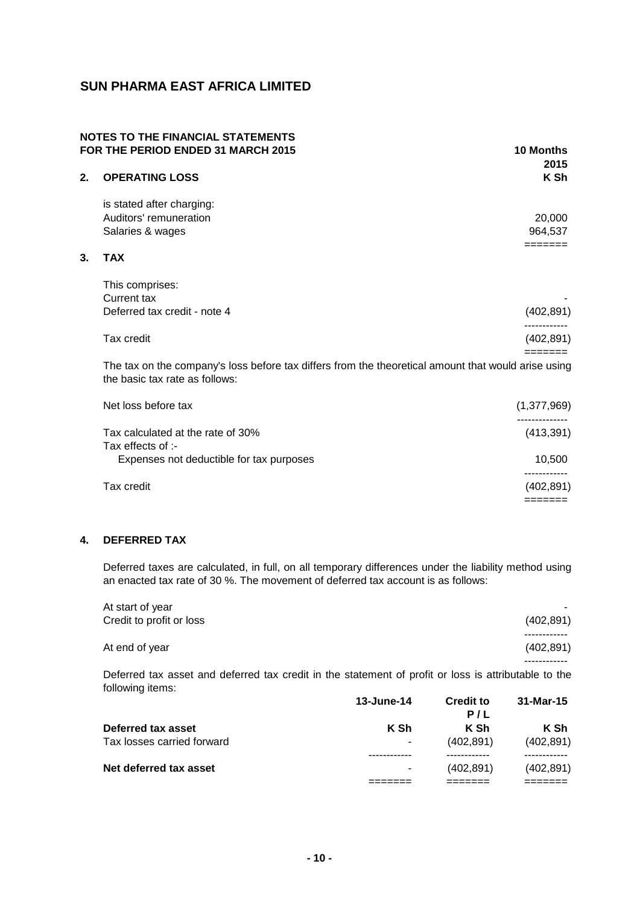## **NOTES TO THE FINANCIAL STATEMENTS FOR THE PERIOD ENDED 31 MARCH 2015 10 Months**

|    |                              | טוויטוויט<br>2015 |
|----|------------------------------|-------------------|
| 2. | <b>OPERATING LOSS</b>        | K Sh              |
|    | is stated after charging:    |                   |
|    | Auditors' remuneration       | 20,000            |
|    | Salaries & wages             | 964,537           |
|    |                              |                   |
| 3. | <b>TAX</b>                   |                   |
|    | This comprises:              |                   |
|    | <b>Current tax</b>           |                   |
|    | Deferred tax credit - note 4 | (402, 891)        |
|    | Tax credit                   | (402, 891)        |
|    |                              |                   |
|    |                              |                   |

The tax on the company's loss before tax differs from the theoretical amount that would arise using the basic tax rate as follows:

| Net loss before tax                      | (1,377,969) |
|------------------------------------------|-------------|
| Tax calculated at the rate of 30%        | (413, 391)  |
| Tax effects of :-                        |             |
| Expenses not deductible for tax purposes | 10.500      |
|                                          |             |
| Tax credit                               | (402, 891)  |
|                                          |             |

# **4. DEFERRED TAX**

Deferred taxes are calculated, in full, on all temporary differences under the liability method using an enacted tax rate of 30 %. The movement of deferred tax account is as follows:

| At start of year         |            |
|--------------------------|------------|
| Credit to profit or loss | (402, 891) |
|                          |            |
| At end of year           | (402, 891) |
|                          |            |

Deferred tax asset and deferred tax credit in the statement of profit or loss is attributable to the following items:

|                            | 13-June-14               | <b>Credit to</b> | 31-Mar-15  |
|----------------------------|--------------------------|------------------|------------|
|                            |                          | P/L              |            |
| Deferred tax asset         | K Sh                     | K Sh             | K Sh       |
| Tax losses carried forward | $\overline{\phantom{a}}$ | (402.891)        | (402, 891) |
|                            |                          |                  |            |
| Net deferred tax asset     |                          | (402.891)        | (402, 891) |
|                            |                          |                  |            |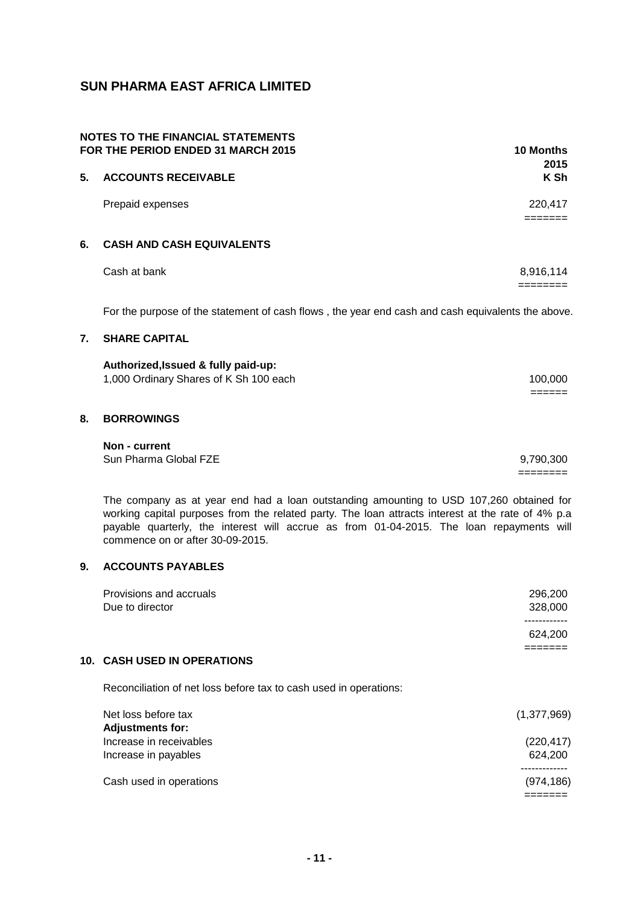| <b>NOTES TO THE FINANCIAL STATEMENTS</b><br>FOR THE PERIOD ENDED 31 MARCH 2015 |                                                                                                                           | 10 Months<br>2015  |
|--------------------------------------------------------------------------------|---------------------------------------------------------------------------------------------------------------------------|--------------------|
| 5.                                                                             | <b>ACCOUNTS RECEIVABLE</b>                                                                                                | K Sh               |
|                                                                                | Prepaid expenses                                                                                                          | 220,417<br>======= |
| 6.                                                                             | <b>CASH AND CASH EQUIVALENTS</b>                                                                                          |                    |
|                                                                                | Cash at bank                                                                                                              | 8,916,114          |
| 7.                                                                             | For the purpose of the statement of cash flows, the year end cash and cash equivalents the above.<br><b>SHARE CAPITAL</b> |                    |
|                                                                                | Authorized, Issued & fully paid-up:<br>1,000 Ordinary Shares of K Sh 100 each                                             | 100,000            |
| 8.                                                                             | <b>BORROWINGS</b>                                                                                                         |                    |
|                                                                                | Non - current<br>Sun Pharma Global FZE                                                                                    | 9,790,300          |

The company as at year end had a loan outstanding amounting to USD 107,260 obtained for working capital purposes from the related party. The loan attracts interest at the rate of 4% p.a payable quarterly, the interest will accrue as from 01-04-2015. The loan repayments will commence on or after 30-09-2015.

# **9. ACCOUNTS PAYABLES**

| Provisions and accruals<br>Due to director                        | 296,200<br>328,000 |
|-------------------------------------------------------------------|--------------------|
|                                                                   | 624,200            |
| <b>10. CASH USED IN OPERATIONS</b>                                |                    |
| Reconciliation of net loss before tax to cash used in operations: |                    |

| Net loss before tax     | (1,377,969) |
|-------------------------|-------------|
| <b>Adjustments for:</b> |             |
| Increase in receivables | (220, 417)  |
| Increase in payables    | 624.200     |
|                         |             |
| Cash used in operations | (974, 186)  |
|                         |             |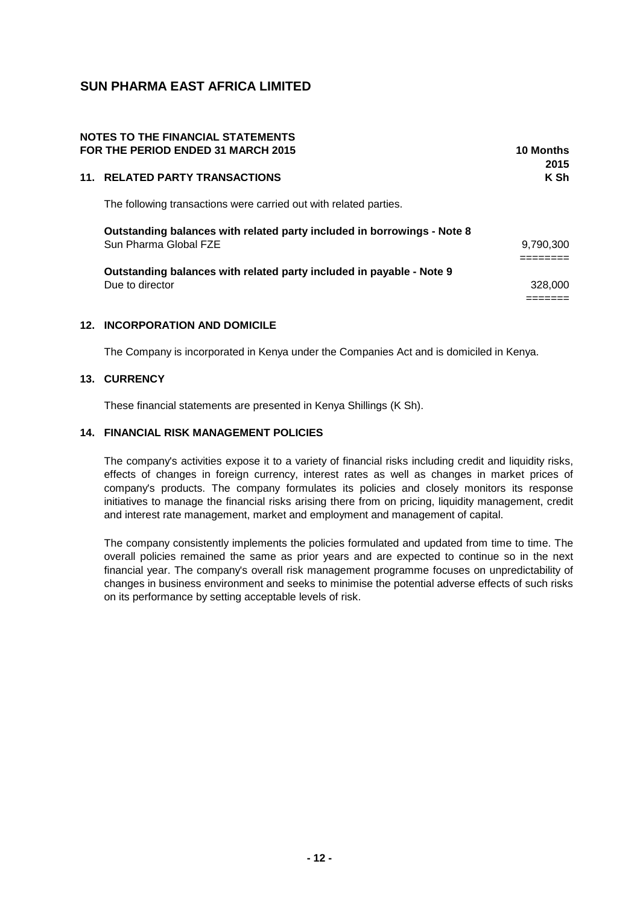| <b>NOTES TO THE FINANCIAL STATEMENTS</b><br>FOR THE PERIOD ENDED 31 MARCH 2015                   | 10 Months<br>2015 |
|--------------------------------------------------------------------------------------------------|-------------------|
| 11. RELATED PARTY TRANSACTIONS                                                                   | K Sh              |
| The following transactions were carried out with related parties.                                |                   |
| Outstanding balances with related party included in borrowings - Note 8<br>Sun Pharma Global FZE | 9,790,300         |
| Outstanding balances with related party included in payable - Note 9<br>Due to director          | 328,000           |

## **12. INCORPORATION AND DOMICILE**

The Company is incorporated in Kenya under the Companies Act and is domiciled in Kenya.

## **13. CURRENCY**

These financial statements are presented in Kenya Shillings (K Sh).

### **14. FINANCIAL RISK MANAGEMENT POLICIES**

The company's activities expose it to a variety of financial risks including credit and liquidity risks, effects of changes in foreign currency, interest rates as well as changes in market prices of company's products. The company formulates its policies and closely monitors its response initiatives to manage the financial risks arising there from on pricing, liquidity management, credit and interest rate management, market and employment and management of capital.

The company consistently implements the policies formulated and updated from time to time. The overall policies remained the same as prior years and are expected to continue so in the next financial year. The company's overall risk management programme focuses on unpredictability of changes in business environment and seeks to minimise the potential adverse effects of such risks on its performance by setting acceptable levels of risk.